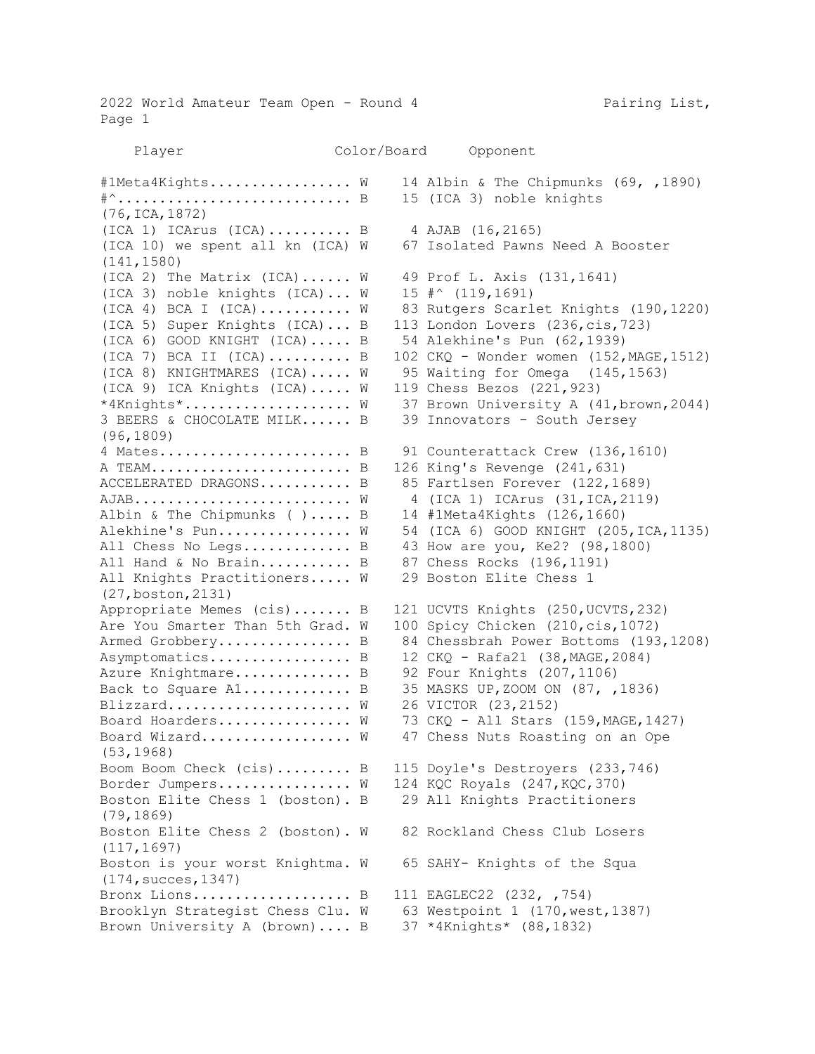2022 World Amateur Team Open - Round 4 Pairing List, Page 1

 Player Color/Board Opponent #1Meta4Kights................. W 14 Albin & The Chipmunks (69, ,1890) #^.................................. B 15 (ICA 3) noble knights (76,ICA,1872) (ICA 1) ICArus (ICA).......... B 4 AJAB (16,2165) (ICA 10) we spent all kn (ICA) W 67 Isolated Pawns Need A Booster (141,1580) (ICA 2) The Matrix (ICA)...... W 49 Prof L. Axis (131,1641) (ICA 3) noble knights (ICA)... W 15 #^ (119,1691) (ICA 4) BCA I (ICA)........... W 83 Rutgers Scarlet Knights (190,1220) (ICA 5) Super Knights (ICA)... B 113 London Lovers (236,cis,723) (ICA 6) GOOD KNIGHT (ICA)..... B 54 Alekhine's Pun (62,1939) (ICA 7) BCA II (ICA).......... B 102 CKQ - Wonder women (152,MAGE,1512) (ICA 8) KNIGHTMARES (ICA)..... W 95 Waiting for Omega (145,1563) (ICA 9) ICA Knights (ICA)..... W 119 Chess Bezos (221,923) \*4Knights\*.................... W 37 Brown University A (41,brown,2044) 3 BEERS & CHOCOLATE MILK...... B 39 Innovators - South Jersey (96,1809) 4 Mates............................ B 91 Counterattack Crew (136,1610) A TEAM........................ B 126 King's Revenge (241,631) ACCELERATED DRAGONS.......... B 85 Fartlsen Forever (122,1689)  $AJAB$ ..............................  $W$  4 (ICA 1) ICArus (31, ICA, 2119) Albin & The Chipmunks ( )..... B 14 #1Meta4Kights (126,1660) Alekhine's Pun................ W 54 (ICA 6) GOOD KNIGHT (205, ICA, 1135) All Chess No Legs............. B 43 How are you, Ke2? (98,1800) All Hand & No Brain........... B 87 Chess Rocks (196,1191) All Knights Practitioners..... W 29 Boston Elite Chess 1 (27,boston,2131) Appropriate Memes (cis)....... B 121 UCVTS Knights (250,UCVTS,232) Are You Smarter Than 5th Grad. W 100 Spicy Chicken (210,cis,1072) Armed Grobbery.................. B 84 Chessbrah Power Bottoms (193,1208) Asymptomatics................... B 12 CKQ - Rafa21 (38, MAGE, 2084) Azure Knightmare.............. B 92 Four Knights (207,1106) Back to Square A1.............. B 35 MASKS UP, ZOOM ON (87, ,1836) Blizzard...................... W 26 VICTOR (23,2152) Board Hoarders................  $W$  73 CKQ - All Stars (159, MAGE, 1427) Board Wizard.................. W 47 Chess Nuts Roasting on an Ope (53,1968) Boom Boom Check (cis)......... B 115 Doyle's Destroyers (233,746) Border Jumpers................ W 124 KQC Royals (247, KQC, 370) Boston Elite Chess 1 (boston). B 29 All Knights Practitioners (79,1869) Boston Elite Chess 2 (boston). W 82 Rockland Chess Club Losers (117,1697) Boston is your worst Knightma. W 65 SAHY- Knights of the Squa (174,succes,1347) Bronx Lions.................... B 111 EAGLEC22 (232, ,754) Brooklyn Strategist Chess Clu. W 63 Westpoint 1 (170,west,1387) Brown University A (brown).... B 37 \*4Knights\* (88,1832)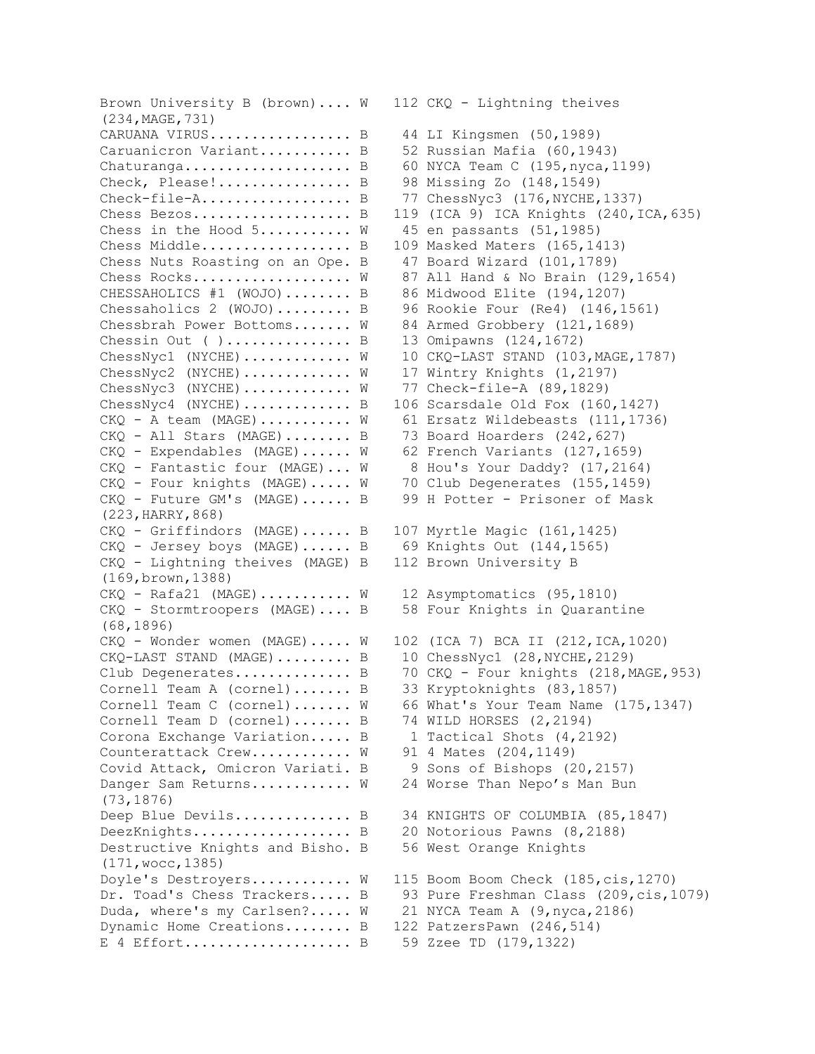Brown University B (brown).... W 112 CKQ - Lightning theives (234,MAGE,731) CARUANA VIRUS................. B 44 LI Kingsmen (50,1989) Caruanicron Variant........... B 52 Russian Mafia (60,1943) Chaturanga.................... B 60 NYCA Team C (195,nyca,1199) Check, Please!................ B 98 Missing Zo (148,1549)  $Check-file-A.\n......\n...B$  77  $ChessNyc3 (176, NYCHE, 1337)$ Chess Bezos................... B 119 (ICA 9) ICA Knights (240,ICA,635) Chess in the Hood  $5$ ........... W 45 en passants  $(51, 1985)$ Chess Middle..................... B 109 Masked Maters (165,1413) Chess Nuts Roasting on an Ope. B 47 Board Wizard (101,1789) Chess Rocks...................  $W$  87 All Hand & No Brain (129,1654) CHESSAHOLICS #1 (WOJO)........ B 86 Midwood Elite (194,1207) Chessaholics 2 (WOJO)......... B 96 Rookie Four (Re4) (146,1561) Chessbrah Power Bottoms....... W 84 Armed Grobbery (121,1689) Chessin Out ( )............... B 13 Omipawns (124,1672) ChessNyc1 (NYCHE)........... W 10 CKQ-LAST STAND (103, MAGE, 1787) ChessNyc2 (NYCHE)............ W 17 Wintry Knights (1,2197) ChessNyc3 (NYCHE)............ W 77 Check-file-A (89,1829) ChessNyc4 (NYCHE)............. B 106 Scarsdale Old Fox (160,1427)  $CKQ - A$  team  $(MAGE)$ .......... W 61 Ersatz Wildebeasts  $(111,1736)$ CKQ - All Stars (MAGE)........ B 73 Board Hoarders (242,627) CKQ - Expendables (MAGE)...... W 62 French Variants (127,1659) CKQ - Fantastic four (MAGE)... W 8 Hou's Your Daddy? (17,2164) CKQ - Four knights (MAGE)..... W 70 Club Degenerates (155,1459) CKQ - Future GM's (MAGE)...... B 99 H Potter - Prisoner of Mask (223,HARRY,868) CKQ - Griffindors (MAGE)...... B 107 Myrtle Magic (161,1425) CKQ - Jersey boys (MAGE)...... B 69 Knights Out (144,1565) CKQ - Lightning theives (MAGE) B 112 Brown University B (169,brown,1388) CKQ - Rafa21 (MAGE)........... W 12 Asymptomatics (95,1810) CKQ - Stormtroopers (MAGE).... B 58 Four Knights in Quarantine (68,1896)  $CKQ$  - Wonder women (MAGE)..... W 102 (ICA 7) BCA II (212, ICA, 1020) CKQ-LAST STAND (MAGE)......... B 10 ChessNyc1 (28,NYCHE, 2129) Club Degenerates.............. B 70 CKQ - Four knights (218, MAGE, 953) Cornell Team A (cornel)....... B 33 Kryptoknights (83,1857) Cornell Team C (cornel)....... W 66 What's Your Team Name (175,1347) Cornell Team D (cornel)....... B 74 WILD HORSES (2,2194) Corona Exchange Variation..... B 1 Tactical Shots (4,2192) Counterattack Crew............ W 91 4 Mates (204,1149) Covid Attack, Omicron Variati. B 9 Sons of Bishops (20,2157) Danger Sam Returns........... W 24 Worse Than Nepo's Man Bun (73,1876) Deep Blue Devils............... B 34 KNIGHTS OF COLUMBIA (85,1847) DeezKnights..................... B 20 Notorious Pawns (8,2188) Destructive Knights and Bisho. B 56 West Orange Knights (171,wocc,1385) Doyle's Destroyers............ W 115 Boom Boom Check (185,cis,1270) Dr. Toad's Chess Trackers..... B 93 Pure Freshman Class (209, cis, 1079) Duda, where's my Carlsen?..... W 21 NYCA Team A (9,nyca,2186) Dynamic Home Creations........ B 122 PatzersPawn (246,514) E 4 Effort.................... B 59 Zzee TD (179,1322)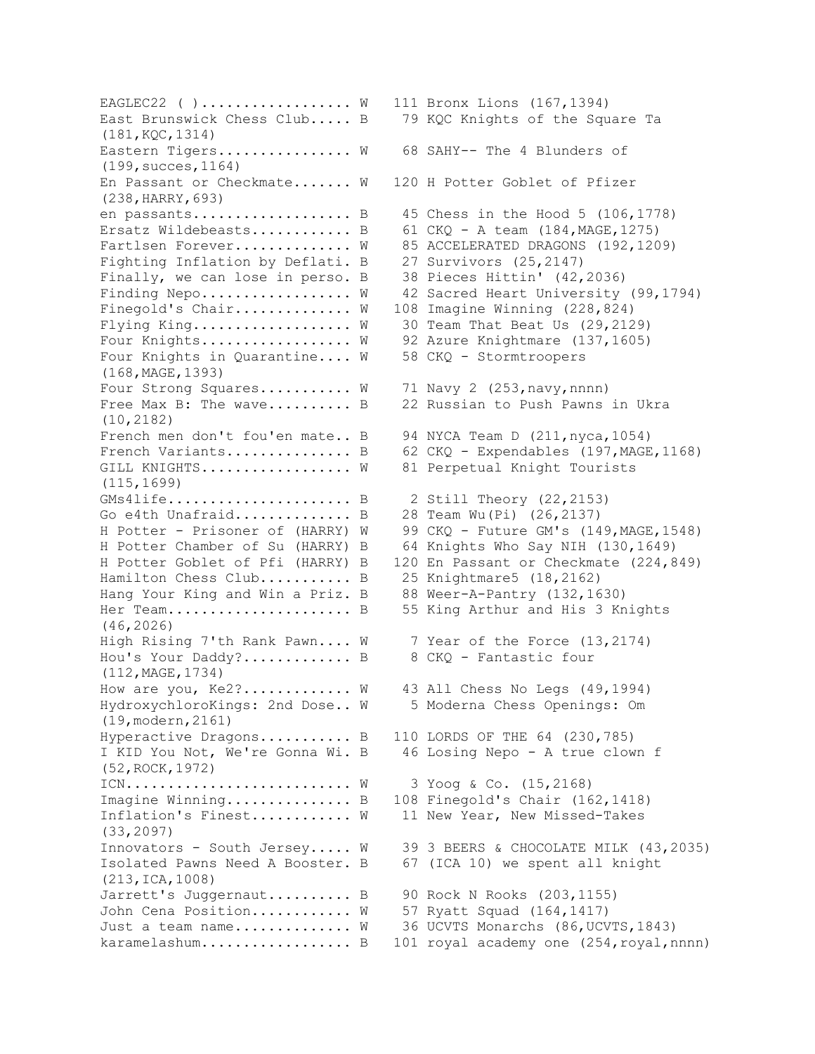EAGLEC22 ( )................ W 111 Bronx Lions (167,1394) (181,KQC,1314) Eastern Tigers............... W 68 SAHY-- The 4 Blunders of (199,succes,1164) En Passant or Checkmate....... W 120 H Potter Goblet of Pfizer (238,HARRY,693) Ersatz Wildebeasts............. B 61 CKQ - A team  $(184, \text{MAGE}, 1275)$ Fighting Inflation by Deflati. B 27 Survivors (25,2147) Finally, we can lose in perso. B 38 Pieces Hittin' (42,2036) Finegold's Chair............. W 108 Imagine Winning (228,824) Flying King.....................  $W$  30 Team That Beat Us (29,2129) Four Knights................. W 92 Azure Knightmare (137,1605) Four Knights in Quarantine.... W 58 CKQ - Stormtroopers (168,MAGE,1393) Four Strong Squares.......... W 71 Navy 2 (253, navy, nnnn) (10,2182) French men don't fou'en mate.. B 94 NYCA Team D (211, nyca, 1054) GILL KNIGHTS.................. W 81 Perpetual Knight Tourists (115,1699) GMs4life...................... B 2 Still Theory (22,2153) Go e4th Unafraid.............. B 28 Team Wu(Pi) (26,2137) Hamilton Chess Club........... B 25 Knightmare5 (18,2162) Hang Your King and Win a Priz. B 88 Weer-A-Pantry (132,1630) (46,2026) High Rising 7'th Rank Pawn.... W 7 Year of the Force (13,2174) Hou's Your Daddy?............. B 8 CKQ - Fantastic four (112,MAGE,1734) How are you, Ke2?............. W 43 All Chess No Legs (49,1994) HydroxychloroKings: 2nd Dose.. W 5 Moderna Chess Openings: Om (19,modern,2161) Hyperactive Dragons........... B 110 LORDS OF THE 64 (230,785) (52,ROCK,1972) ICN........................... W 3 Yoog & Co. (15,2168) Imagine Winning................ B 108 Finegold's Chair (162,1418) Inflation's Finest............ W 11 New Year, New Missed-Takes (33,2097) (213,ICA,1008) Jarrett's Juggernaut.......... B 90 Rock N Rooks (203,1155) John Cena Position............ W 57 Ryatt Squad (164,1417)

East Brunswick Chess Club..... B 79 KQC Knights of the Square Ta en passants......................... B  $45$  Chess in the Hood 5 (106,1778) Fartlsen Forever............. W 85 ACCELERATED DRAGONS (192,1209) Finding Nepo................. W 42 Sacred Heart University (99,1794) Free Max B: The wave.......... B 22 Russian to Push Pawns in Ukra French Variants................ B 62 CKQ - Expendables (197, MAGE, 1168) H Potter - Prisoner of (HARRY) W 99 CKQ - Future GM's (149,MAGE,1548) H Potter Chamber of Su (HARRY) B 64 Knights Who Say NIH (130,1649) H Potter Goblet of Pfi (HARRY) B 120 En Passant or Checkmate (224,849) Her Team...................... B 55 King Arthur and His 3 Knights I KID You Not, We're Gonna Wi. B 46 Losing Nepo - A true clown f Innovators - South Jersey..... W 39 3 BEERS & CHOCOLATE MILK (43,2035) Isolated Pawns Need A Booster. B 67 (ICA 10) we spent all knight Just a team name............. W 36 UCVTS Monarchs (86, UCVTS, 1843) karamelashum...................... B 101 royal academy one (254, royal,nnnn)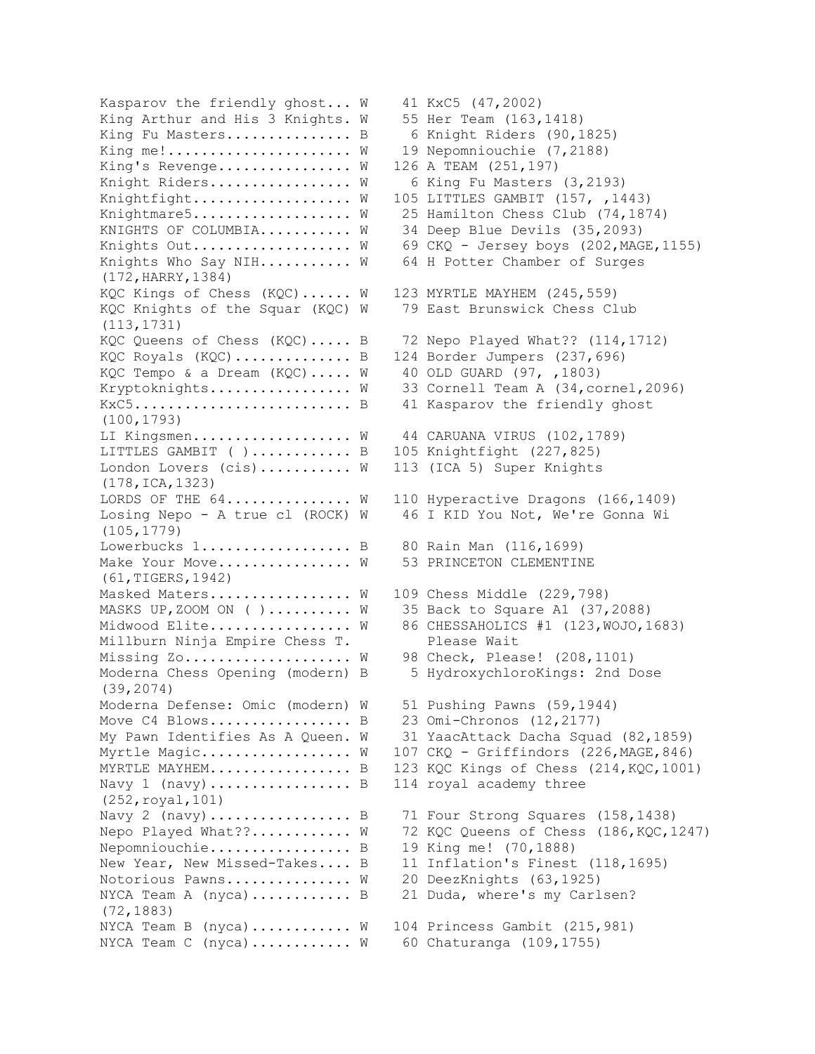King Arthur and His 3 Knights. W 55 Her Team (163,1418) King Fu Masters................ B 6 Knight Riders (90,1825) King me!..................... W 19 Nepomniouchie (7,2188) King's Revenge............... W 126 A TEAM (251,197) Knight Riders................ W 6 King Fu Masters (3,2193) Knightfight.................. W 105 LITTLES GAMBIT (157, ,1443) KNIGHTS OF COLUMBIA.......... W 34 Deep Blue Devils (35,2093) Knights Who Say NIH........... W 64 H Potter Chamber of Surges (172,HARRY,1384) KQC Kings of Chess (KQC)...... W 123 MYRTLE MAYHEM (245,559) KQC Knights of the Squar (KQC) W 79 East Brunswick Chess Club (113,1731) KQC Royals (KQC).............. B 124 Border Jumpers (237,696) KQC Tempo & a Dream (KQC)..... W 40 OLD GUARD (97, ,1803) KxC5................................ B 41 Kasparov the friendly ghost (100,1793) LI Kingsmen.................. W 44 CARUANA VIRUS (102,1789) LITTLES GAMBIT ( )............ B 105 Knightfight (227,825) London Lovers (cis).......... W 113 (ICA 5) Super Knights (178,ICA,1323) (105,1779) Lowerbucks 1.................. B 80 Rain Man (116,1699) Make Your Move............... W 53 PRINCETON CLEMENTINE (61,TIGERS,1942) Masked Maters................ W 109 Chess Middle (229,798) MASKS UP, ZOOM ON ( )......... W 35 Back to Square A1 (37, 2088) Millburn Ninja Empire Chess T. Please Wait Missing Zo.................... W 98 Check, Please! (208,1101) (39,2074) Moderna Defense: Omic (modern) W 51 Pushing Pawns (59,1944) Move C4 Blows.................... B 23 Omi-Chronos  $(12, 2177)$ Navy 1 (navy).................. B 114 royal academy three (252,royal,101) Nepomniouchie.................. B 19 King me! (70,1888) Notorious Pawns............. W 20 DeezKnights (63,1925) NYCA Team A (nyca)............. B 21 Duda, where's my Carlsen? (72,1883) NYCA Team B (nyca)........... W 104 Princess Gambit (215,981) NYCA Team C (nyca)........... W 60 Chaturanga (109,1755)

Kasparov the friendly ghost... W 41 KxC5 (47,2002) Knightmare5....................  $W = 25$  Hamilton Chess Club (74,1874) Knights Out...................  $W = 69$  CKQ - Jersey boys (202, MAGE, 1155) KQC Queens of Chess (KQC)..... B 72 Nepo Played What?? (114,1712) Kryptoknights................ W 33 Cornell Team A (34, cornel, 2096) LORDS OF THE  $64$ .............. W 110 Hyperactive Dragons (166,1409) Losing Nepo - A true cl (ROCK) W 46 I KID You Not, We're Gonna Wi Midwood Elite................ W 86 CHESSAHOLICS #1 (123, WOJO, 1683) Moderna Chess Opening (modern) B 5 HydroxychloroKings: 2nd Dose My Pawn Identifies As A Queen. W 31 YaacAttack Dacha Squad (82,1859) Myrtle Magic................. W 107 CKQ - Griffindors (226, MAGE, 846) MYRTLE MAYHEM..................... B 123 KQC Kings of Chess  $(214, KQC, 1001)$ Navy 2 (navy).................... B 71 Four Strong Squares (158,1438) Nepo Played What??........... W 72 KQC Queens of Chess (186, KQC, 1247) New Year, New Missed-Takes.... B 11 Inflation's Finest (118,1695)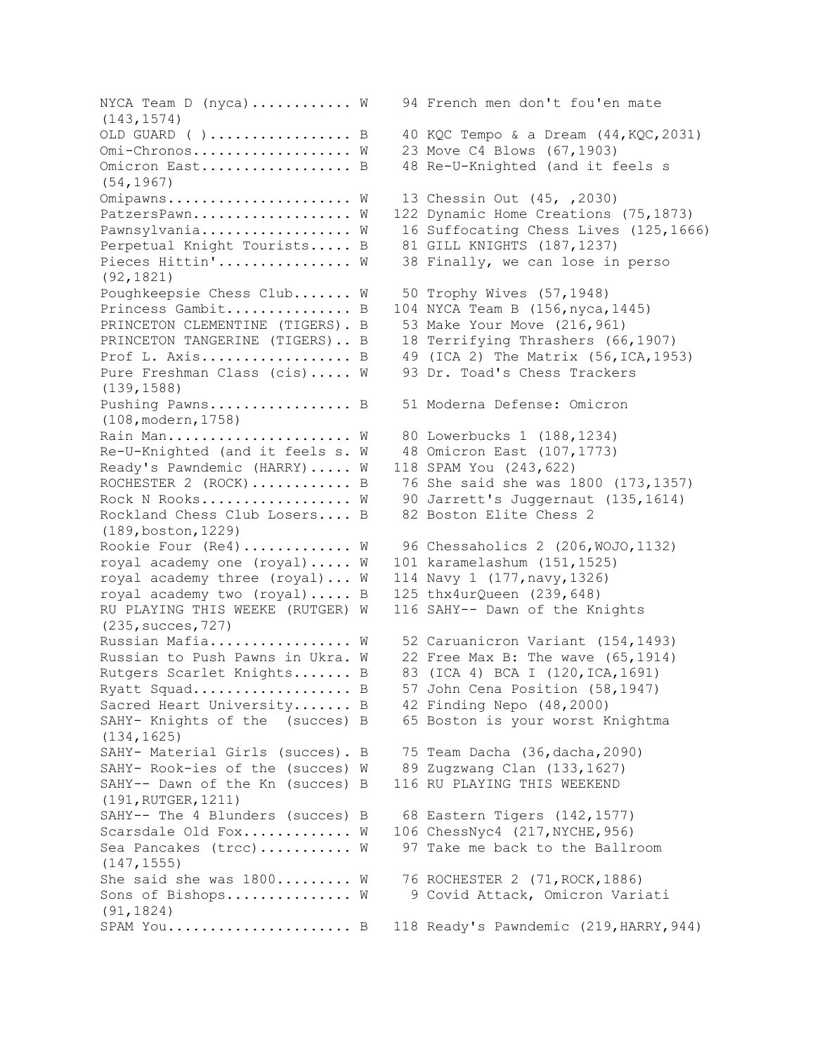NYCA Team D (nyca)........... W 94 French men don't fou'en mate (143,1574) OLD GUARD ( )................... B 40 KQC Tempo & a Dream  $(44, KQC, 2031)$ Omi-Chronos................. W 23 Move C4 Blows (67,1903) Omicron East.................... B 48 Re-U-Knighted (and it feels s (54,1967) Omipawns...................... W 13 Chessin Out (45, ,2030) PatzersPawn................... W 122 Dynamic Home Creations (75,1873) Pawnsylvania.................. W 16 Suffocating Chess Lives (125,1666) Perpetual Knight Tourists..... B 81 GILL KNIGHTS (187,1237) Pieces Hittin'............... W 38 Finally, we can lose in perso (92,1821) Poughkeepsie Chess Club....... W 50 Trophy Wives (57,1948) Princess Gambit................ B 104 NYCA Team B (156,nyca,1445) PRINCETON CLEMENTINE (TIGERS). B 53 Make Your Move (216,961) PRINCETON TANGERINE (TIGERS).. B 18 Terrifying Thrashers (66,1907) Prof L. Axis....................... B  $49$  (ICA 2) The Matrix (56, ICA, 1953) Pure Freshman Class (cis)..... W 93 Dr. Toad's Chess Trackers (139,1588) Pushing Pawns................... B 51 Moderna Defense: Omicron (108,modern,1758) Rain Man.................... W 80 Lowerbucks 1 (188,1234) Re-U-Knighted (and it feels s. W 48 Omicron East (107,1773) Ready's Pawndemic (HARRY)..... W 118 SPAM You (243,622) ROCHESTER 2 (ROCK)............ B 76 She said she was 1800 (173,1357) Rock N Rooks................. W 90 Jarrett's Juggernaut (135,1614) Rockland Chess Club Losers.... B 82 Boston Elite Chess 2 (189,boston,1229) Rookie Four (Re4)............ W 96 Chessaholics 2 (206, WOJO, 1132) royal academy one (royal)..... W 101 karamelashum (151,1525) royal academy three (royal)... W 114 Navy 1 (177,navy,1326) royal academy two (royal)..... B 125 thx4urQueen (239,648) RU PLAYING THIS WEEKE (RUTGER) W 116 SAHY-- Dawn of the Knights (235,succes,727) Russian Mafia................ W 52 Caruanicron Variant (154,1493) Russian to Push Pawns in Ukra. W 22 Free Max B: The wave (65,1914) Rutgers Scarlet Knights....... B 83 (ICA 4) BCA I (120,ICA,1691) Ryatt Squad.......................... B 57 John Cena Position (58,1947) Sacred Heart University....... B 42 Finding Nepo (48,2000) SAHY- Knights of the (succes) B 65 Boston is your worst Knightma (134,1625) SAHY- Material Girls (succes). B 75 Team Dacha (36,dacha,2090) SAHY- Rook-ies of the (succes) W 89 Zugzwang Clan (133,1627) SAHY-- Dawn of the Kn (succes) B 116 RU PLAYING THIS WEEKEND (191,RUTGER,1211) SAHY-- The 4 Blunders (succes) B 68 Eastern Tigers (142,1577) Scarsdale Old Fox............ W 106 ChessNyc4 (217, NYCHE, 956) Sea Pancakes (trcc).......... W 97 Take me back to the Ballroom (147,1555) She said she was  $1800......$ .... W 76 ROCHESTER 2 (71, ROCK, 1886) Sons of Bishops.............. W 9 Covid Attack, Omicron Variati (91,1824) SPAM You...................... B 118 Ready's Pawndemic (219,HARRY,944)